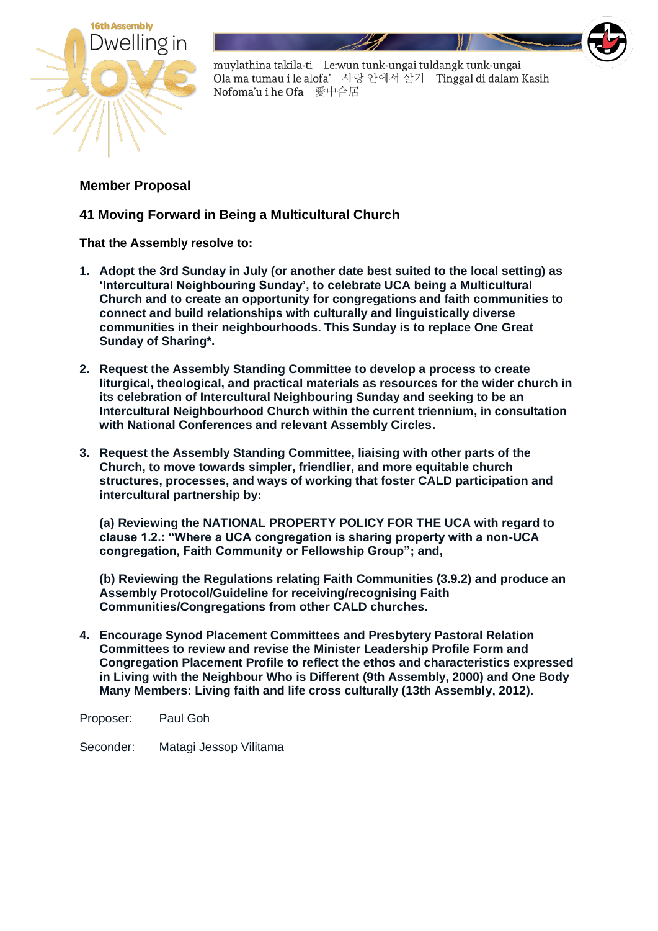

muylathina takila-ti Le:wun tunk-ungai tuldangk tunk-ungai Ola ma tumau i le alofa' 사랑 안에서 살기 Tinggal di dalam Kasih Nofoma'u i he Ofa 愛中合居

## **Member Proposal**

## **41 Moving Forward in Being a Multicultural Church**

**That the Assembly resolve to:**

- **1. Adopt the 3rd Sunday in July (or another date best suited to the local setting) as 'Intercultural Neighbouring Sunday', to celebrate UCA being a Multicultural Church and to create an opportunity for congregations and faith communities to connect and build relationships with culturally and linguistically diverse communities in their neighbourhoods. This Sunday is to replace One Great Sunday of Sharing\*.**
- **2. Request the Assembly Standing Committee to develop a process to create liturgical, theological, and practical materials as resources for the wider church in its celebration of Intercultural Neighbouring Sunday and seeking to be an Intercultural Neighbourhood Church within the current triennium, in consultation with National Conferences and relevant Assembly Circles.**
- **3. Request the Assembly Standing Committee, liaising with other parts of the Church, to move towards simpler, friendlier, and more equitable church structures, processes, and ways of working that foster CALD participation and intercultural partnership by:**

**(a) Reviewing the NATIONAL PROPERTY POLICY FOR THE UCA with regard to clause 1.2.: "Where a UCA congregation is sharing property with a non-UCA congregation, Faith Community or Fellowship Group"; and,**

**(b) Reviewing the Regulations relating Faith Communities (3.9.2) and produce an Assembly Protocol/Guideline for receiving/recognising Faith Communities/Congregations from other CALD churches.** 

**4. Encourage Synod Placement Committees and Presbytery Pastoral Relation Committees to review and revise the Minister Leadership Profile Form and Congregation Placement Profile to reflect the ethos and characteristics expressed in Living with the Neighbour Who is Different (9th Assembly, 2000) and One Body Many Members: Living faith and life cross culturally (13th Assembly, 2012).**

Proposer: Paul Goh

Seconder: Matagi Jessop Vilitama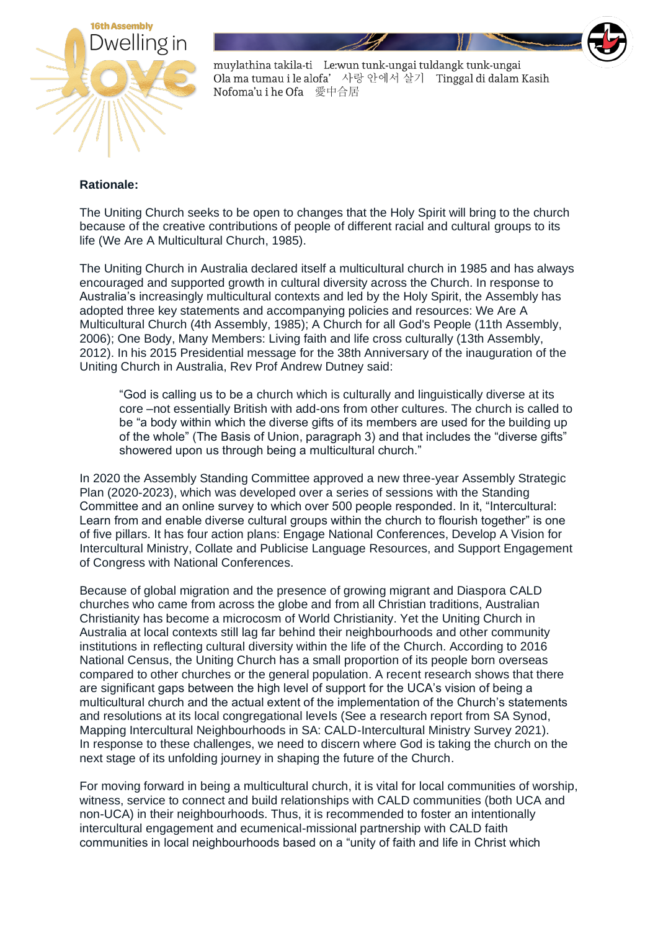

muylathina takila-ti Le:wun tunk-ungai tuldangk tunk-ungai Ola ma tumau i le alofa' 사랑 안에서 살기 Tinggal di dalam Kasih Nofoma'u i he Ofa 愛中合居

## **Rationale:**

The Uniting Church seeks to be open to changes that the Holy Spirit will bring to the church because of the creative contributions of people of different racial and cultural groups to its life (We Are A Multicultural Church, 1985).

The Uniting Church in Australia declared itself a multicultural church in 1985 and has always encouraged and supported growth in cultural diversity across the Church. In response to Australia's increasingly multicultural contexts and led by the Holy Spirit, the Assembly has adopted three key statements and accompanying policies and resources: We Are A Multicultural Church (4th Assembly, 1985); A Church for all God's People (11th Assembly, 2006); One Body, Many Members: Living faith and life cross culturally (13th Assembly, 2012). In his 2015 Presidential message for the 38th Anniversary of the inauguration of the Uniting Church in Australia, Rev Prof Andrew Dutney said:

"God is calling us to be a church which is culturally and linguistically diverse at its core –not essentially British with add-ons from other cultures. The church is called to be "a body within which the diverse gifts of its members are used for the building up of the whole" (The Basis of Union, paragraph 3) and that includes the "diverse gifts" showered upon us through being a multicultural church."

In 2020 the Assembly Standing Committee approved a new three-year Assembly Strategic Plan (2020-2023), which was developed over a series of sessions with the Standing Committee and an online survey to which over 500 people responded. In it, "Intercultural: Learn from and enable diverse cultural groups within the church to flourish together" is one of five pillars. It has four action plans: Engage National Conferences, Develop A Vision for Intercultural Ministry, Collate and Publicise Language Resources, and Support Engagement of Congress with National Conferences.

Because of global migration and the presence of growing migrant and Diaspora CALD churches who came from across the globe and from all Christian traditions, Australian Christianity has become a microcosm of World Christianity. Yet the Uniting Church in Australia at local contexts still lag far behind their neighbourhoods and other community institutions in reflecting cultural diversity within the life of the Church. According to 2016 National Census, the Uniting Church has a small proportion of its people born overseas compared to other churches or the general population. A recent research shows that there are significant gaps between the high level of support for the UCA's vision of being a multicultural church and the actual extent of the implementation of the Church's statements and resolutions at its local congregational levels (See a research report from SA Synod, Mapping Intercultural Neighbourhoods in SA: CALD-Intercultural Ministry Survey 2021). In response to these challenges, we need to discern where God is taking the church on the next stage of its unfolding journey in shaping the future of the Church.

For moving forward in being a multicultural church, it is vital for local communities of worship, witness, service to connect and build relationships with CALD communities (both UCA and non-UCA) in their neighbourhoods. Thus, it is recommended to foster an intentionally intercultural engagement and ecumenical-missional partnership with CALD faith communities in local neighbourhoods based on a "unity of faith and life in Christ which